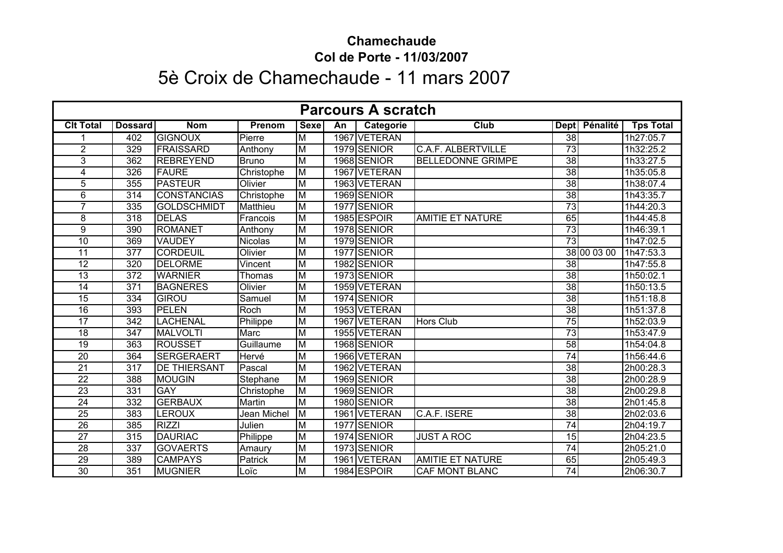## **Chamechaude Col de Porte - 11/03/2007**

## 5è Croix de Chamechaude - 11 mars 2007

| <b>Parcours A scratch</b> |                  |                     |               |                         |    |              |                           |                 |               |                  |  |
|---------------------------|------------------|---------------------|---------------|-------------------------|----|--------------|---------------------------|-----------------|---------------|------------------|--|
| <b>Clt Total</b>          | <b>Dossard</b>   | <b>Nom</b>          | <b>Prenom</b> | <b>Sexe</b>             | An | Categorie    | Club                      |                 | Dept Pénalité | <b>Tps Total</b> |  |
|                           | 402              | <b>GIGNOUX</b>      | Pierre        | M                       |    | 1967 VETERAN |                           | $\overline{38}$ |               | 1h27:05.7        |  |
| $\overline{2}$            | 329              | <b>FRAISSARD</b>    | Anthony       | M                       |    | 1979 SENIOR  | <b>C.A.F. ALBERTVILLE</b> | $\overline{73}$ |               | 1h32:25.2        |  |
| 3                         | 362              | <b>REBREYEND</b>    | <b>Bruno</b>  | M                       |    | 1968 SENIOR  | <b>BELLEDONNE GRIMPE</b>  | 38              |               | 1h33:27.5        |  |
| 4                         | 326              | <b>FAURE</b>        | Christophe    | $\overline{\mathsf{M}}$ |    | 1967 VETERAN |                           | $\overline{38}$ |               | 1h35:05.8        |  |
| 5                         | 355              | <b>PASTEUR</b>      | Olivier       | M                       |    | 1963 VETERAN |                           | $\overline{38}$ |               | 1h38:07.4        |  |
| 6                         | 314              | <b>CONSTANCIAS</b>  | Christophe    | M                       |    | 1969 SENIOR  |                           | $\overline{38}$ |               | 1h43:35.7        |  |
| $\overline{7}$            | 335              | <b>GOLDSCHMIDT</b>  | Matthieu      | M                       |    | 1977 SENIOR  |                           | 73              |               | 1h44:20.3        |  |
| 8                         | 318              | <b>DELAS</b>        | Francois      | M                       |    | 1985 ESPOIR  | <b>AMITIE ET NATURE</b>   | 65              |               | 1h44:45.8        |  |
| 9                         | 390              | <b>ROMANET</b>      | Anthony       | $\overline{\mathsf{M}}$ |    | 1978 SENIOR  |                           | $\overline{73}$ |               | 1h46:39.1        |  |
| 10                        | 369              | <b>VAUDEY</b>       | Nicolas       | M                       |    | 1979 SENIOR  |                           | $\overline{73}$ |               | 1h47:02.5        |  |
| $\overline{11}$           | 377              | <b>CORDEUIL</b>     | Olivier       | $\overline{\mathsf{M}}$ |    | 1977 SENIOR  |                           |                 | 38 00 03 00   | 1h47:53.3        |  |
| $\overline{12}$           | 320              | <b>DELORME</b>      | Vincent       | M                       |    | 1982 SENIOR  |                           | $\overline{38}$ |               | 1h47:55.8        |  |
| 13                        | $\overline{372}$ | <b>WARNIER</b>      | <b>Thomas</b> | M                       |    | 1973 SENIOR  |                           | $\overline{38}$ |               | 1h50:02.1        |  |
| 14                        | $\overline{371}$ | <b>BAGNERES</b>     | Olivier       | M                       |    | 1959 VETERAN |                           | 38              |               | 1h50:13.5        |  |
| $\overline{15}$           | 334              | <b>GIROU</b>        | Samuel        | $\overline{\mathsf{M}}$ |    | 1974 SENIOR  |                           | $\overline{38}$ |               | 1h51:18.8        |  |
| 16                        | 393              | <b>PELEN</b>        | Roch          | M                       |    | 1953 VETERAN |                           | $\overline{38}$ |               | 1h51:37.8        |  |
| 17                        | 342              | <b>LACHENAL</b>     | Philippe      | M                       |    | 1967 VETERAN | <b>Hors Club</b>          | $\overline{75}$ |               | 1h52:03.9        |  |
| $\overline{18}$           | $\overline{347}$ | <b>MALVOLTI</b>     | Marc          | M                       |    | 1955 VETERAN |                           | 73              |               | 1h53:47.9        |  |
| $\overline{19}$           | 363              | <b>ROUSSET</b>      | Guillaume     | M                       |    | 1968 SENIOR  |                           | $\overline{58}$ |               | 1h54:04.8        |  |
| 20                        | 364              | <b>SERGERAERT</b>   | Hervé         | $\overline{\mathsf{M}}$ |    | 1966 VETERAN |                           | $\overline{74}$ |               | 1h56:44.6        |  |
| $\overline{21}$           | $\overline{317}$ | <b>DE THIERSANT</b> | Pascal        | M                       |    | 1962 VETERAN |                           | $\overline{38}$ |               | 2h00:28.3        |  |
| $\overline{22}$           | 388              | <b>MOUGIN</b>       | Stephane      | $\overline{\mathsf{M}}$ |    | 1969 SENIOR  |                           | 38              |               | 2h00:28.9        |  |
| $\overline{23}$           | 331              | <b>GAY</b>          | Christophe    | M                       |    | 1969 SENIOR  |                           | 38              |               | 2h00:29.8        |  |
| $\overline{24}$           | 332              | <b>GERBAUX</b>      | <b>Martin</b> | M                       |    | 1980 SENIOR  |                           | $\overline{38}$ |               | 2h01:45.8        |  |
| $\overline{25}$           | 383              | <b>LEROUX</b>       | Jean Michel   | M                       |    | 1961 VETERAN | C.A.F. ISERE              | $\overline{38}$ |               | 2h02:03.6        |  |
| 26                        | 385              | <b>RIZZI</b>        | Julien        | M                       |    | 1977 SENIOR  |                           | $\overline{74}$ |               | 2h04:19.7        |  |
| $\overline{27}$           | 315              | <b>DAURIAC</b>      | Philippe      | M                       |    | 1974 SENIOR  | <b>JUST A ROC</b>         | $\overline{15}$ |               | 2h04:23.5        |  |
| $\overline{28}$           | 337              | <b>GOVAERTS</b>     | Amaury        | M                       |    | 1973 SENIOR  |                           | $\overline{74}$ |               | 2h05:21.0        |  |
| $\overline{29}$           | 389              | <b>CAMPAYS</b>      | Patrick       | M                       |    | 1961 VETERAN | <b>AMITIE ET NATURE</b>   | 65              |               | 2h05:49.3        |  |
| 30                        | 351              | <b>MUGNIER</b>      | Loïc          | $\overline{\mathsf{M}}$ |    | 1984 ESPOIR  | <b>CAF MONT BLANC</b>     | $\overline{74}$ |               | 2h06:30.7        |  |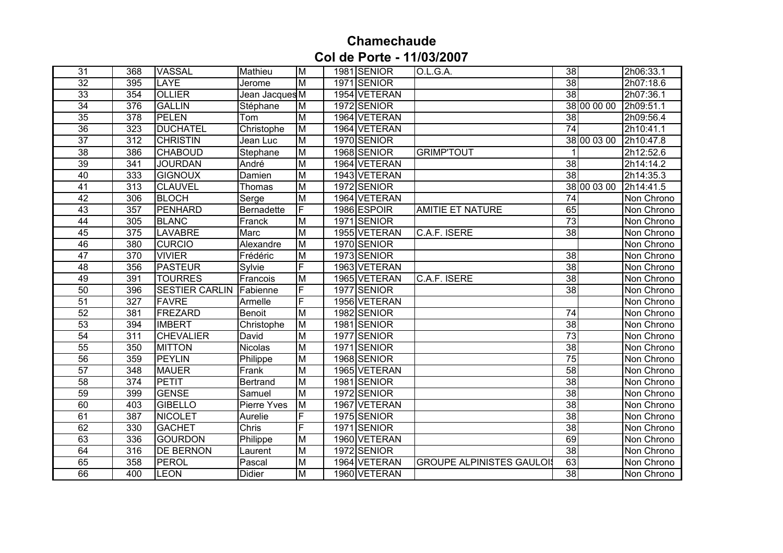## **Chamechaude Col de Porte - 11/03/2007**

| 31              | 368              | <b>VASSAL</b>         | Mathieu            | M                       | 1981 SENIOR  | O.L.G.A.                         | $\overline{38}$ | 2h06:33.1  |
|-----------------|------------------|-----------------------|--------------------|-------------------------|--------------|----------------------------------|-----------------|------------|
| $\overline{32}$ | 395              | <b>LAYE</b>           | Jerome             | M                       | 1971 SENIOR  |                                  | 38              | 2h07:18.6  |
| 33              | 354              | <b>OLLIER</b>         | Jean Jacques M     |                         | 1954 VETERAN |                                  | $\overline{38}$ | 2h07:36.1  |
| 34              | 376              | <b>GALLIN</b>         | Stéphane           | M                       | 1972 SENIOR  |                                  | 38 00 00 00     | 2h09:51.1  |
| $\overline{35}$ | $\overline{378}$ | <b>PELEN</b>          | Tom                | M                       | 1964 VETERAN |                                  | $\overline{38}$ | 2h09:56.4  |
| $\overline{36}$ | 323              | <b>DUCHATEL</b>       | Christophe         | M                       | 1964 VETERAN |                                  | $\overline{74}$ | 2h10:41.1  |
| $\overline{37}$ | $\overline{312}$ | <b>CHRISTIN</b>       | Jean Luc           | M                       | 1970 SENIOR  |                                  | 38 00 03 00     | 2h10:47.8  |
| 38              | 386              | <b>CHABOUD</b>        | Stephane           | M                       | 1968 SENIOR  | <b>GRIMP'TOUT</b>                |                 | 2h12:52.6  |
| 39              | 341              | <b>JOURDAN</b>        | André              | $\overline{\mathsf{M}}$ | 1964 VETERAN |                                  | 38              | 2h14:14.2  |
| 40              | 333              | <b>GIGNOUX</b>        | Damien             | M                       | 1943 VETERAN |                                  | $\overline{38}$ | 2h14:35.3  |
| 41              | 313              | <b>CLAUVEL</b>        | Thomas             | M                       | 1972 SENIOR  |                                  | 38 00 03 00     | 2h14:41.5  |
| 42              | 306              | <b>BLOCH</b>          | Serge              | M                       | 1964 VETERAN |                                  | $\overline{74}$ | Non Chrono |
| 43              | 357              | <b>PENHARD</b>        | <b>Bernadette</b>  | $\overline{\mathsf{F}}$ | 1986 ESPOIR  | <b>AMITIE ET NATURE</b>          | 65              | Non Chrono |
| $\overline{44}$ | 305              | <b>BLANC</b>          | Franck             | $\overline{M}$          | 1971 SENIOR  |                                  | 73              | Non Chrono |
| 45              | 375              | <b>LAVABRE</b>        | Marc               | $\overline{\mathsf{M}}$ | 1955 VETERAN | C.A.F. ISERE                     | $\overline{38}$ | Non Chrono |
| 46              | 380              | <b>CURCIO</b>         | Alexandre          | M                       | 1970 SENIOR  |                                  |                 | Non Chrono |
| 47              | $\overline{370}$ | <b>VIVIER</b>         | Frédéric           | M                       | 1973 SENIOR  |                                  | $\overline{38}$ | Non Chrono |
| 48              | 356              | <b>PASTEUR</b>        | Sylvie             | F                       | 1963 VETERAN |                                  | $\overline{38}$ | Non Chrono |
| 49              | 391              | <b>TOURRES</b>        | Francois           | M                       | 1965 VETERAN | C.A.F. ISERE                     | $\overline{38}$ | Non Chrono |
| $\overline{50}$ | 396              | <b>SESTIER CARLIN</b> | Fabienne           | F                       | 1977 SENIOR  |                                  | $\overline{38}$ | Non Chrono |
| 51              | $\overline{327}$ | <b>FAVRE</b>          | Armelle            | F                       | 1956 VETERAN |                                  |                 | Non Chrono |
| 52              | 381              | FREZARD               | Benoit             | M                       | 1982 SENIOR  |                                  | $\overline{74}$ | Non Chrono |
| 53              | 394              | <b>IMBERT</b>         | Christophe         | M                       | 1981 SENIOR  |                                  | 38              | Non Chrono |
| $\overline{54}$ | $\overline{311}$ | <b>CHEVALIER</b>      | David              | M                       | 1977 SENIOR  |                                  | $\overline{73}$ | Non Chrono |
| $\overline{55}$ | 350              | <b>MITTON</b>         | Nicolas            | M                       | 1971 SENIOR  |                                  | $\overline{38}$ | Non Chrono |
| $\overline{56}$ | 359              | <b>PEYLIN</b>         | Philippe           | $\overline{M}$          | 1968 SENIOR  |                                  | $\overline{75}$ | Non Chrono |
| 57              | $\overline{348}$ | <b>MAUER</b>          | Frank              | $\overline{M}$          | 1965 VETERAN |                                  | 58              | Non Chrono |
| 58              | $\overline{374}$ | PETIT                 | Bertrand           | M                       | 1981 SENIOR  |                                  | $\overline{38}$ | Non Chrono |
| 59              | 399              | <b>GENSE</b>          | Samuel             | M                       | 1972 SENIOR  |                                  | $\overline{38}$ | Non Chrono |
| 60              | 403              | <b>GIBELLO</b>        | <b>Pierre Yves</b> | M                       | 1967 VETERAN |                                  | 38              | Non Chrono |
| 61              | 387              | <b>NICOLET</b>        | Aurelie            | F                       | 1975 SENIOR  |                                  | $\overline{38}$ | Non Chrono |
| 62              | 330              | <b>GACHET</b>         | Chris              | F                       | 1971 SENIOR  |                                  | $\overline{38}$ | Non Chrono |
| 63              | 336              | <b>GOURDON</b>        | Philippe           | M                       | 1960 VETERAN |                                  | 69              | Non Chrono |
| 64              | 316              | <b>DE BERNON</b>      | Laurent            | M                       | 1972 SENIOR  |                                  | $\overline{38}$ | Non Chrono |
| 65              | 358              | PEROL                 | Pascal             | M                       | 1964 VETERAN | <b>GROUPE ALPINISTES GAULOIS</b> | 63              | Non Chrono |
| 66              | 400              | <b>LEON</b>           | Didier             | M                       | 1960 VETERAN |                                  | $\overline{38}$ | Non Chrono |